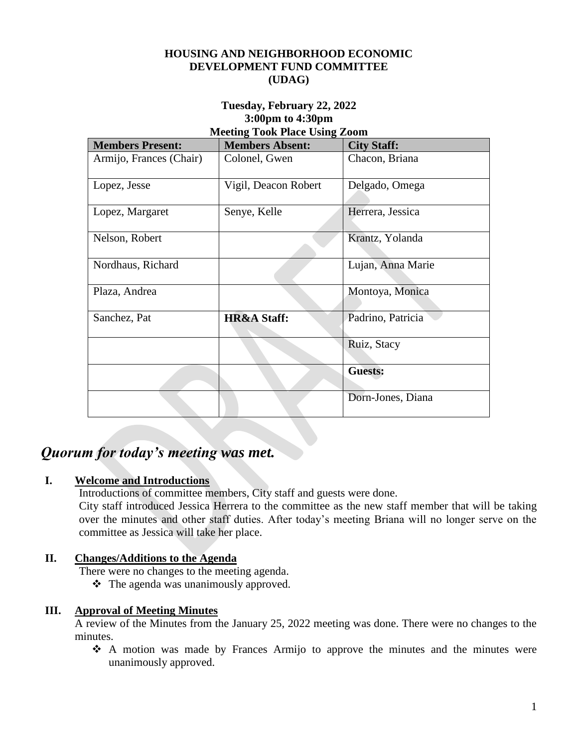#### **HOUSING AND NEIGHBORHOOD ECONOMIC DEVELOPMENT FUND COMMITTEE (UDAG)**

#### **Tuesday, February 22, 2022 3:00pm to 4:30pm Meeting Took Place Using Zoom**

| $1000 \text{ m}$        |                        |                    |
|-------------------------|------------------------|--------------------|
| <b>Members Present:</b> | <b>Members Absent:</b> | <b>City Staff:</b> |
| Armijo, Frances (Chair) | Colonel, Gwen          | Chacon, Briana     |
|                         |                        |                    |
| Lopez, Jesse            | Vigil, Deacon Robert   | Delgado, Omega     |
|                         |                        |                    |
| Lopez, Margaret         | Senye, Kelle           | Herrera, Jessica   |
|                         |                        |                    |
| Nelson, Robert          |                        | Krantz, Yolanda    |
|                         |                        |                    |
| Nordhaus, Richard       |                        | Lujan, Anna Marie  |
|                         |                        |                    |
| Plaza, Andrea           |                        | Montoya, Monica    |
|                         |                        |                    |
| Sanchez, Pat            | <b>HR&amp;A Staff:</b> | Padrino, Patricia  |
|                         |                        |                    |
|                         |                        | Ruiz, Stacy        |
|                         |                        |                    |
|                         |                        | <b>Guests:</b>     |
|                         |                        |                    |
|                         |                        | Dorn-Jones, Diana  |
|                         |                        |                    |

# *Quorum for today's meeting was met.*

# **I. Welcome and Introductions**

Introductions of committee members, City staff and guests were done.

City staff introduced Jessica Herrera to the committee as the new staff member that will be taking over the minutes and other staff duties. After today's meeting Briana will no longer serve on the committee as Jessica will take her place.

# **II. Changes/Additions to the Agenda**

There were no changes to the meeting agenda.

 $\triangle$  The agenda was unanimously approved.

## **III. Approval of Meeting Minutes**

A review of the Minutes from the January 25, 2022 meeting was done. There were no changes to the minutes.

 A motion was made by Frances Armijo to approve the minutes and the minutes were unanimously approved.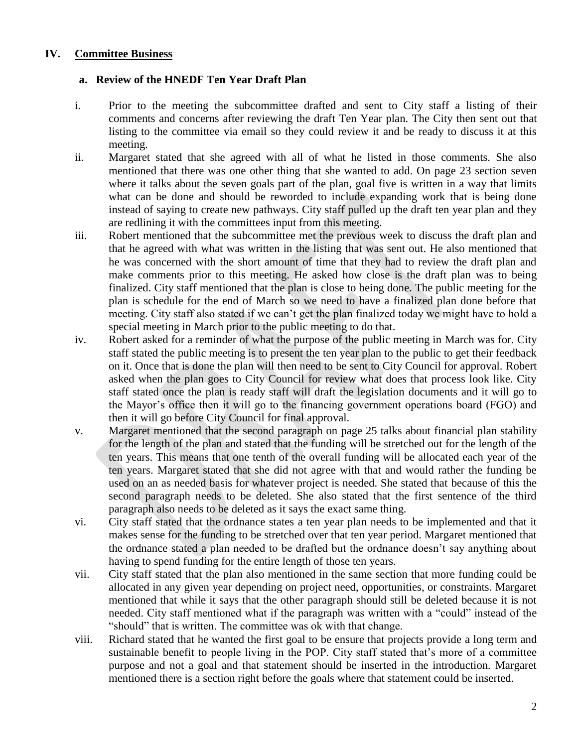#### **IV. Committee Business**

#### **a. Review of the HNEDF Ten Year Draft Plan**

- i. Prior to the meeting the subcommittee drafted and sent to City staff a listing of their comments and concerns after reviewing the draft Ten Year plan. The City then sent out that listing to the committee via email so they could review it and be ready to discuss it at this meeting.
- ii. Margaret stated that she agreed with all of what he listed in those comments. She also mentioned that there was one other thing that she wanted to add. On page 23 section seven where it talks about the seven goals part of the plan, goal five is written in a way that limits what can be done and should be reworded to include expanding work that is being done instead of saying to create new pathways. City staff pulled up the draft ten year plan and they are redlining it with the committees input from this meeting.
- iii. Robert mentioned that the subcommittee met the previous week to discuss the draft plan and that he agreed with what was written in the listing that was sent out. He also mentioned that he was concerned with the short amount of time that they had to review the draft plan and make comments prior to this meeting. He asked how close is the draft plan was to being finalized. City staff mentioned that the plan is close to being done. The public meeting for the plan is schedule for the end of March so we need to have a finalized plan done before that meeting. City staff also stated if we can't get the plan finalized today we might have to hold a special meeting in March prior to the public meeting to do that.
- iv. Robert asked for a reminder of what the purpose of the public meeting in March was for. City staff stated the public meeting is to present the ten year plan to the public to get their feedback on it. Once that is done the plan will then need to be sent to City Council for approval. Robert asked when the plan goes to City Council for review what does that process look like. City staff stated once the plan is ready staff will draft the legislation documents and it will go to the Mayor's office then it will go to the financing government operations board (FGO) and then it will go before City Council for final approval.
- v. Margaret mentioned that the second paragraph on page 25 talks about financial plan stability for the length of the plan and stated that the funding will be stretched out for the length of the ten years. This means that one tenth of the overall funding will be allocated each year of the ten years. Margaret stated that she did not agree with that and would rather the funding be used on an as needed basis for whatever project is needed. She stated that because of this the second paragraph needs to be deleted. She also stated that the first sentence of the third paragraph also needs to be deleted as it says the exact same thing.
- vi. City staff stated that the ordnance states a ten year plan needs to be implemented and that it makes sense for the funding to be stretched over that ten year period. Margaret mentioned that the ordnance stated a plan needed to be drafted but the ordnance doesn't say anything about having to spend funding for the entire length of those ten years.
- vii. City staff stated that the plan also mentioned in the same section that more funding could be allocated in any given year depending on project need, opportunities, or constraints. Margaret mentioned that while it says that the other paragraph should still be deleted because it is not needed. City staff mentioned what if the paragraph was written with a "could" instead of the "should" that is written. The committee was ok with that change.
- viii. Richard stated that he wanted the first goal to be ensure that projects provide a long term and sustainable benefit to people living in the POP. City staff stated that's more of a committee purpose and not a goal and that statement should be inserted in the introduction. Margaret mentioned there is a section right before the goals where that statement could be inserted.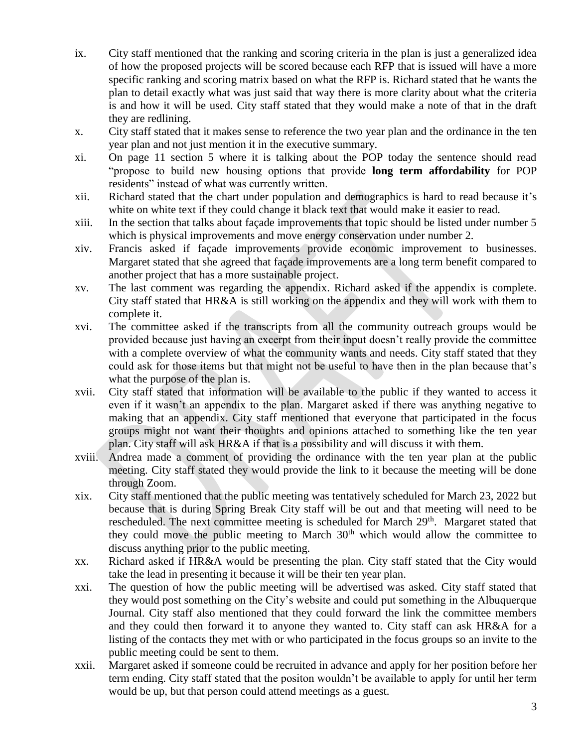- ix. City staff mentioned that the ranking and scoring criteria in the plan is just a generalized idea of how the proposed projects will be scored because each RFP that is issued will have a more specific ranking and scoring matrix based on what the RFP is. Richard stated that he wants the plan to detail exactly what was just said that way there is more clarity about what the criteria is and how it will be used. City staff stated that they would make a note of that in the draft they are redlining.
- x. City staff stated that it makes sense to reference the two year plan and the ordinance in the ten year plan and not just mention it in the executive summary.
- xi. On page 11 section 5 where it is talking about the POP today the sentence should read "propose to build new housing options that provide **long term affordability** for POP residents" instead of what was currently written.
- xii. Richard stated that the chart under population and demographics is hard to read because it's white on white text if they could change it black text that would make it easier to read.
- xiii. In the section that talks about façade improvements that topic should be listed under number 5 which is physical improvements and move energy conservation under number 2.
- xiv. Francis asked if façade improvements provide economic improvement to businesses. Margaret stated that she agreed that façade improvements are a long term benefit compared to another project that has a more sustainable project.
- xv. The last comment was regarding the appendix. Richard asked if the appendix is complete. City staff stated that HR&A is still working on the appendix and they will work with them to complete it.
- xvi. The committee asked if the transcripts from all the community outreach groups would be provided because just having an excerpt from their input doesn't really provide the committee with a complete overview of what the community wants and needs. City staff stated that they could ask for those items but that might not be useful to have then in the plan because that's what the purpose of the plan is.
- xvii. City staff stated that information will be available to the public if they wanted to access it even if it wasn't an appendix to the plan. Margaret asked if there was anything negative to making that an appendix. City staff mentioned that everyone that participated in the focus groups might not want their thoughts and opinions attached to something like the ten year plan. City staff will ask HR&A if that is a possibility and will discuss it with them.
- xviii. Andrea made a comment of providing the ordinance with the ten year plan at the public meeting. City staff stated they would provide the link to it because the meeting will be done through Zoom.
- xix. City staff mentioned that the public meeting was tentatively scheduled for March 23, 2022 but because that is during Spring Break City staff will be out and that meeting will need to be rescheduled. The next committee meeting is scheduled for March 29<sup>th</sup>. Margaret stated that they could move the public meeting to March  $30<sup>th</sup>$  which would allow the committee to discuss anything prior to the public meeting.
- xx. Richard asked if HR&A would be presenting the plan. City staff stated that the City would take the lead in presenting it because it will be their ten year plan.
- xxi. The question of how the public meeting will be advertised was asked. City staff stated that they would post something on the City's website and could put something in the Albuquerque Journal. City staff also mentioned that they could forward the link the committee members and they could then forward it to anyone they wanted to. City staff can ask HR&A for a listing of the contacts they met with or who participated in the focus groups so an invite to the public meeting could be sent to them.
- xxii. Margaret asked if someone could be recruited in advance and apply for her position before her term ending. City staff stated that the positon wouldn't be available to apply for until her term would be up, but that person could attend meetings as a guest.